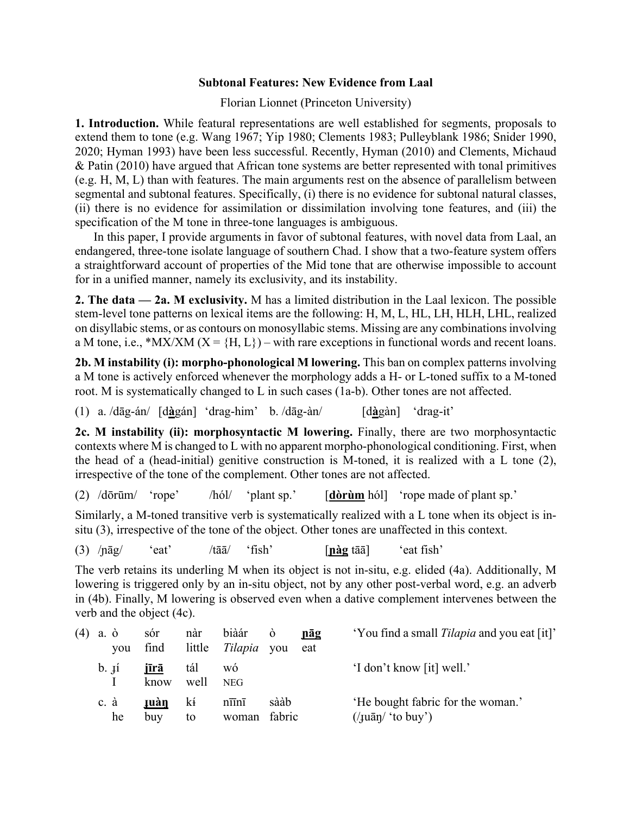## **Subtonal Features: New Evidence from Laal**

Florian Lionnet (Princeton University)

**1. Introduction.** While featural representations are well established for segments, proposals to extend them to tone (e.g. Wang 1967; Yip 1980; Clements 1983; Pulleyblank 1986; Snider 1990, 2020; Hyman 1993) have been less successful. Recently, Hyman (2010) and Clements, Michaud & Patin (2010) have argued that African tone systems are better represented with tonal primitives (e.g. H, M, L) than with features. The main arguments rest on the absence of parallelism between segmental and subtonal features. Specifically, (i) there is no evidence for subtonal natural classes, (ii) there is no evidence for assimilation or dissimilation involving tone features, and (iii) the specification of the M tone in three-tone languages is ambiguous.

In this paper, I provide arguments in favor of subtonal features, with novel data from Laal, an endangered, three-tone isolate language of southern Chad. I show that a two-feature system offers a straightforward account of properties of the Mid tone that are otherwise impossible to account for in a unified manner, namely its exclusivity, and its instability.

**2. The data — 2a. M exclusivity.** M has a limited distribution in the Laal lexicon. The possible stem-level tone patterns on lexical items are the following: H, M, L, HL, LH, HLH, LHL, realized on disyllabic stems, or as contours on monosyllabic stems. Missing are any combinations involving a M tone, i.e., \*MX/XM ( $X = {H, L}$ ) – with rare exceptions in functional words and recent loans.

**2b. M instability (i): morpho-phonological M lowering.** This ban on complex patterns involving a M tone is actively enforced whenever the morphology adds a H- or L-toned suffix to a M-toned root. M is systematically changed to L in such cases (1a-b). Other tones are not affected.

(1) a. /dāg-án/ [d**à**gán] 'drag-him' b. /dāg-àn/ [d**à**gàn] 'drag-it'

**2c. M instability (ii): morphosyntactic M lowering.** Finally, there are two morphosyntactic contexts where M is changed to L with no apparent morpho-phonological conditioning. First, when the head of a (head-initial) genitive construction is M-toned, it is realized with a L tone (2), irrespective of the tone of the complement. Other tones are not affected.

(2) /dōrūm/ 'rope' /hól/ 'plant sp.' [**dòrùm** hól] 'rope made of plant sp.'

Similarly, a M-toned transitive verb is systematically realized with a L tone when its object is insitu (3), irrespective of the tone of the object. Other tones are unaffected in this context.

(3) /ɲāg/ 'eat' /tāā/ 'fish' [**ɲàg** tāā] 'eat fish'

The verb retains its underling M when its object is not in-situ, e.g. elided (4a). Additionally, M lowering is triggered only by an in-situ object, not by any other post-verbal word, e.g. an adverb in (4b). Finally, M lowering is observed even when a dative complement intervenes between the verb and the object (4c).

| $(4)$ a. $\dot{o}$<br>vou | sór<br>find         | nàr<br>little | biàár<br><i>Tilapia</i> you            | Ò              | <u>nāg</u><br>eat | 'You find a small <i>Tilapia</i> and you eat [it]'                                                                |
|---------------------------|---------------------|---------------|----------------------------------------|----------------|-------------------|-------------------------------------------------------------------------------------------------------------------|
| $b.$ Ii                   | <u>jīrā</u><br>know | tál<br>well   | WÓ<br><b>NEG</b>                       |                |                   | 'I don't know [it] well.'                                                                                         |
| c. à<br>he                | <b>ruàn</b><br>buy  | kí<br>to      | $n\overline{11}n\overline{1}$<br>woman | sààb<br>fabric |                   | 'He bought fabric for the woman.'<br>$\frac{1}{\sqrt{u}}$ (/ $\frac{1}{\sqrt{u}}$ ( $\frac{1}{\sqrt{u}}$ to buy') |